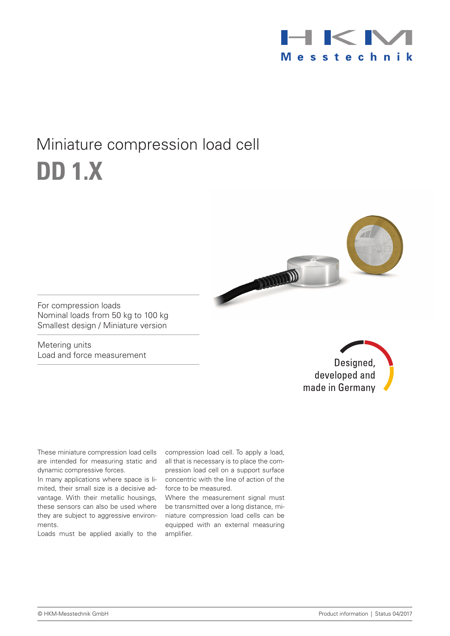

## Miniature compression load cell **DD 1.x**



For compression loads Nominal loads from 50 kg to 100 kg Smallest design / Miniature version

Metering units Load and force measurement

Designed, developed and made in Germany

These miniature compression load cells dynamic compressive forces.

In many applications where space is limited, their small size is a decisive advantage. With their metallic housings, these sensors can also be used where they are subject to aggressive environments.

Loads must be applied axially to the

are intended for measuring static and all that is necessary is to place the comcompression load cell. To apply a load, pression load cell on a support surface concentric with the line of action of the force to be measured.

> Where the measurement signal must be transmitted over a long distance, miniature compression load cells can be equipped with an external measuring amplifier.